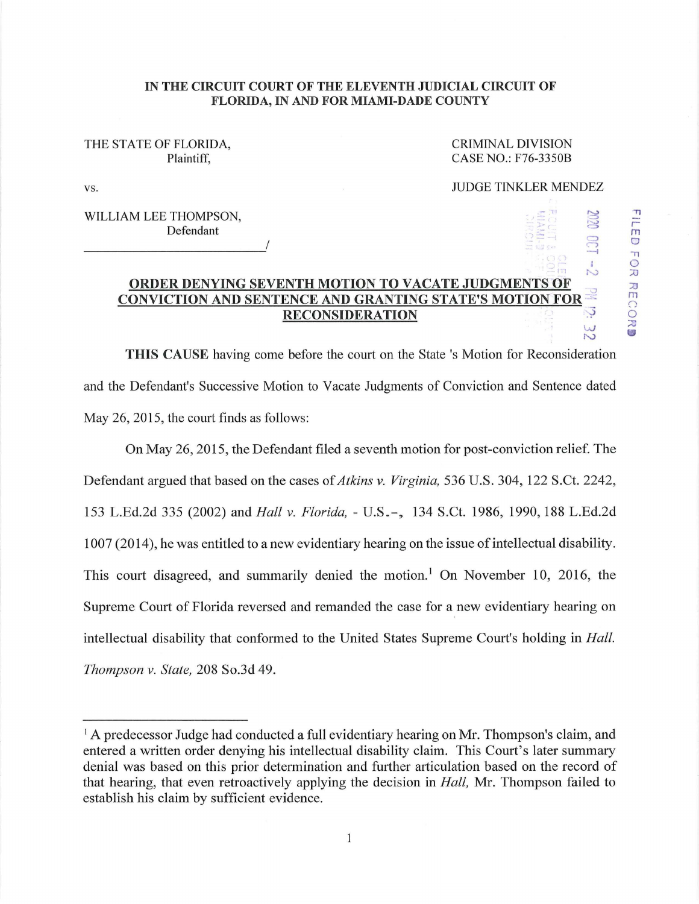## **IN THE CIRCUIT COURT OF THE ELEVENTH JUDICIAL CIRCUIT OF FLORIDA, IN AND FOR MIAMI-DADE COUNTY**

## THE STATE OF FLORIDA, Plaintiff,

CRIMINAL DIVISION CASE NO.: F76-3350B

> $-111$ *.,.:. (*  -:

> > ·, -

 $\mathbb{C} \mathbb{C}$ 

"Tl r m  $\cup$ .,  $\ddot{\circ}$  $\tilde{z}$ 

JJ m 0,

 $\frac{1}{2}$ 

 $\subset$  $\Xi$ 

**N** 

vs. THE STATE SERVICE OF STATE SERVICES AND THE STATE OF STATE SERVICES AND THE STATE OF STATE SERVICE SERVICES

WILLIAM LEE THOMPSON, Defendant I ------------

## $\frac{1}{\sqrt{2}}$ **ORDER DENYING SEVENTH MOTION TO VACATE JUDGMENTS OF<br>ONVICTION AND SENTENCE AND CRANTING STATE'S MOTION FOR CONVICTION AND SENTENCE AND GRANTING STATE'S MOTION FOR RECONSIDERATION RECONSIDERATION** -;-;> **w**

**THIS CAUSE** having come before the court on the State's Motion for Reconsideration and the Defendant's Successive Motion to Vacate Judgments of Conviction and Sentence dated May 26, 2015, the court finds as follows:

On May 26, 2015, the Defendant filed a seventh motion for post-conviction relief. The Defendant argued that based on the cases of *Atkins v. Virginia,* 536 U.S. 304, 122 S.Ct. 2242, 153 L.Ed.2d 335 (2002) and *Hall v. Florida,* - U.S.-,, 134 S.Ct. 1986, 1990, 188 L.Ed.2d 1007 (2014 ), he was entitled to a new evidentiary hearing on the issue of intellectual disability. This court disagreed, and summarily denied the motion.<sup>1</sup> On November 10, 2016, the Supreme Court of Florida reversed and remanded the case for a new evidentiary hearing on intellectual disability that conformed to the United States Supreme Court's holding in *Hall. Thompson v. State,* 208 So.3d 49.

<sup>&</sup>lt;sup>1</sup> A predecessor Judge had conducted a full evidentiary hearing on Mr. Thompson's claim, and entered a written order denying his intellectual disability claim. This Court's later summary denial was based on this prior determination and further articulation based on the record of that hearing, that even retroactively applying the decision in *Hall,* Mr. Thompson failed to establish his claim by sufficient evidence.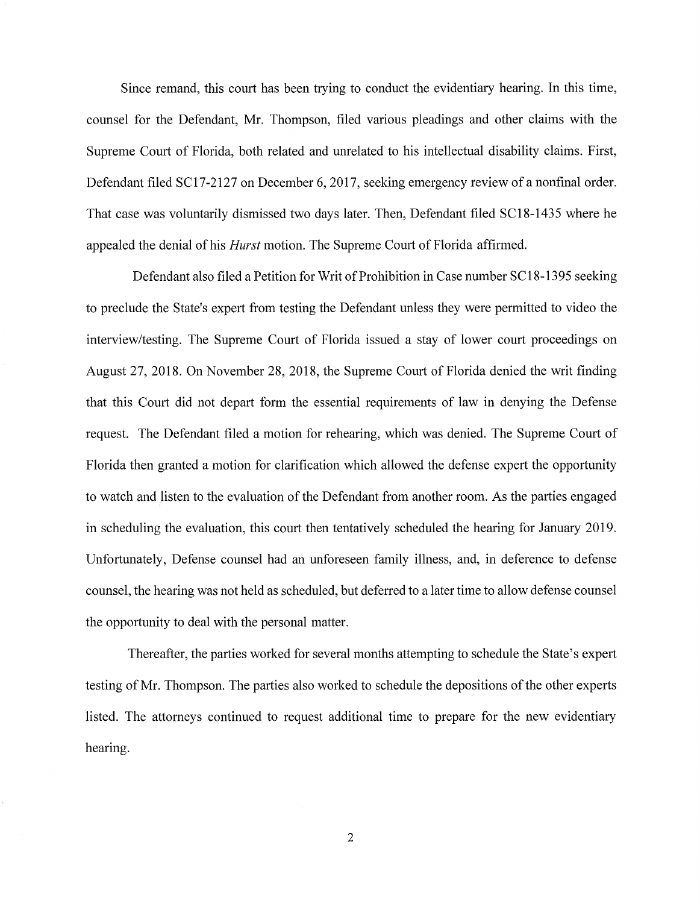Since remand, this court has been trying to conduct the evidentiary hearing. In this time, counsel for the Defendant, Mr. Thompson, filed various pleadings and other claims with the Supreme Court of Florida, both related and unrelated to his intellectual disability claims. First, Defendant filed SC17-2127 on December 6, 2017, seeking emergency review of a nonfinal order. That case was voluntarily dismissed two days later. Then, Defendant filed SC18-1435 where he appealed the denial of his *Hurst* motion. The Supreme Court of Florida affirmed.

Defendant also filed a Petition for Writ of Prohibition in Case number SC 18-1395 seeking to preclude the State's expert from testing the Defendant unless they were permitted to video the interview/testing. The Supreme Court of Florida issued a stay of lower court proceedings on August 27, 2018. On November 28, 2018, the Supreme Court of Florida denied the writ finding that this Court did not depart form the essential requirements of law in denying the Defense request. The Defendant filed a motion for rehearing, which was denied. The Supreme Court of Florida then granted a motion for clarification which allowed the defense expert the opportunity to watch and listen to the evaluation of the Defendant from another room. As the parties engaged in scheduling the evaluation, this court then tentatively scheduled the hearing for January 2019. Unfortunately, Defense counsel had an unforeseen family illness, and, in deference to defense counsel, the hearing was not held as scheduled, but deferred to a later time to allow defense counsel the opportunity to deal with the personal matter.

Thereafter, the parties worked for several months attempting to schedule the State's expert testing of Mr. Thompson. The parties also worked to schedule the depositions of the other experts listed. The attorneys continued to request additional time to prepare for the new evidentiary hearing.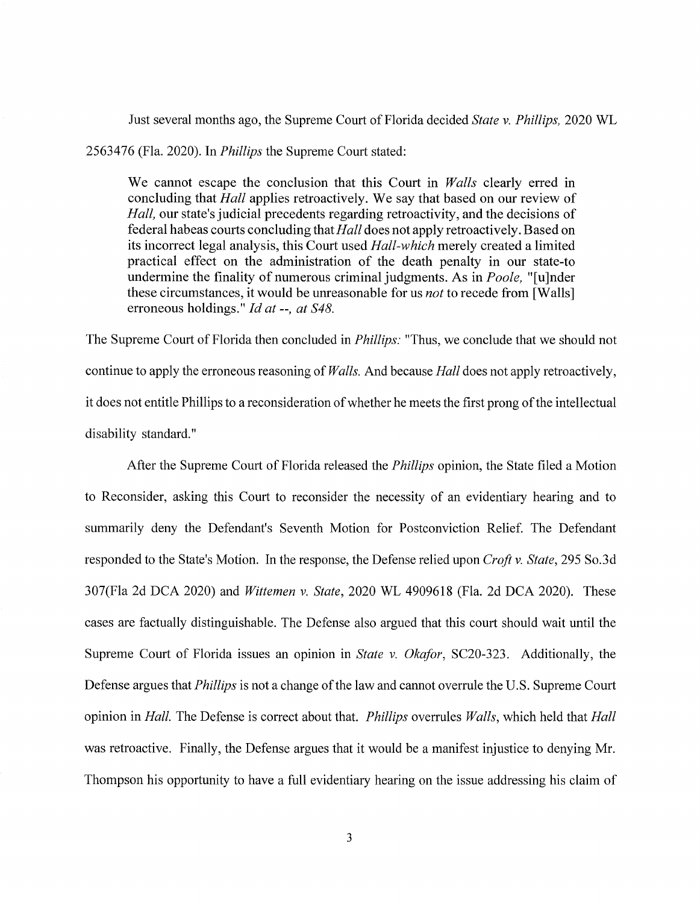Just several months ago, the Supreme Court of Florida decided *State v. Phillips,* 2020 WL

2563476 (Fla. 2020). In *Phillips* the Supreme Court stated:

We cannot escape the conclusion that this Court in *Walls* clearly erred in concluding that *Hall* applies retroactively. We say that based on our review of *Hall,* our state's judicial precedents regarding retroactivity, and the decisions of federal habeas courts concluding that *Hall* does not apply retroactively. Based on its incorrect legal analysis, this Court used *Hall-which* merely created a limited practical effect on the administration of the death penalty in our state-to undermine the finality of numerous criminal judgments. As in *Poole,* "[u]nder these circumstances, it would be unreasonable for us *not* to recede from [Walls] erroneous holdings." *Id at--, at S48.* 

The Supreme Court of Florida then concluded in *Phillips:* "Thus, we conclude that we should not continue to apply the erroneous reasoning of *Walls.* And because *Hall* does not apply retroactively, it does not entitle Phillips to a reconsideration of whether he meets the first prong of the intellectual disability standard."

After the Supreme Court of Florida released the *Phillips* opinion, the State filed a Motion to Reconsider, asking this Court to reconsider the necessity of an evidentiary hearing and to summarily deny the Defendant's Seventh Motion for Postconviction Relief. The Defendant responded to the State's Motion. In the response, the Defense relied upon *Croft v. State,* 295 So.3d 307(Fla 2d DCA 2020) and *Wittemen v. State,* 2020 WL 4909618 (Fla. 2d DCA 2020). These cases are factually distinguishable. The Defense also argued that this court should wait until the Supreme Court of Florida issues an opinion in *State v. Okafor,* SC20-323. Additionally, the Defense argues that *Phillips* is not a change of the law and cannot overrule the U.S. Supreme Court opinion in *Hall.* The Defense is correct about that. *Phillips* overrules *Walls,* which held that *Hall*  was retroactive. Finally, the Defense argues that it would be a manifest injustice to denying Mr. Thompson his opportunity to have a full evidentiary hearing on the issue addressing his claim of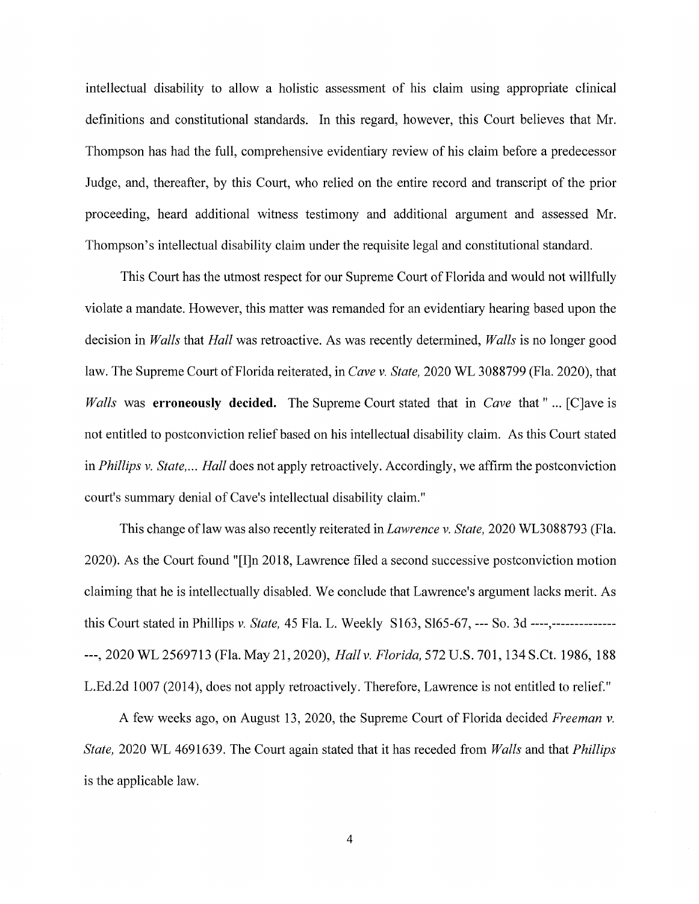intellectual disability to allow a holistic assessment of his claim using appropriate clinical definitions and constitutional standards. In this regard, however, this Court believes that Mr. Thompson has had the full, comprehensive evidentiary review of his claim before a predecessor Judge, and, thereafter, by this Court, who relied on the entire record and transcript of the prior proceeding, heard additional witness testimony and additional argument and assessed Mr. Thompson's intellectual disability claim under the requisite legal and constitutional standard.

This Court has the utmost respect for our Supreme Court of Florida and would not willfully violate a mandate. However, this matter was remanded for an evidentiary hearing based upon the decision in *Walls* that *Hall* was retroactive. As was recently determined, *Walls* is no longer good law. The Supreme Court of Florida reiterated, in *Cave v. State,* 2020 WL 3088799 (Fla. 2020), that *Walls* was **erroneously decided.** The Supreme Court stated that in *Cave* that" ... [C]ave is not entitled to postconviction relief based on his intellectual disability claim. As this Court stated in *Phillips v. State, ... Hall* does not apply retroactively. Accordingly, we affirm the postconviction court's summary denial of Cave's intellectual disability claim."

This change oflaw was also recently reiterated in *Lawrence v. State,* 2020 WL3088793 (Fla. 2020). As the Court found "[I]n 2018, Lawrence filed a second successive postconviction motion claiming that he is intellectually disabled. We conclude that Lawrence's argument lacks merit. As this Court stated in Phillips *v. State,* 45 Fla. L. Weekly S163, Sl65-67, --- So. 3d ----,-------------- ---, 2020 WL 2569713 (Fla. May 21, 2020), *Hall v. Florida,* 572 U.S. 701, 134 S.Ct. 1986, 188 L.Ed.2d 1007 (2014), does not apply retroactively. Therefore, Lawrence is not entitled to relief."

A few weeks ago, on August 13, 2020, the Supreme Court of Florida decided *Freeman v. State,* 2020 WL 4691639. The Court again stated that it has receded from *Walls* and that *Phillips*  is the applicable law.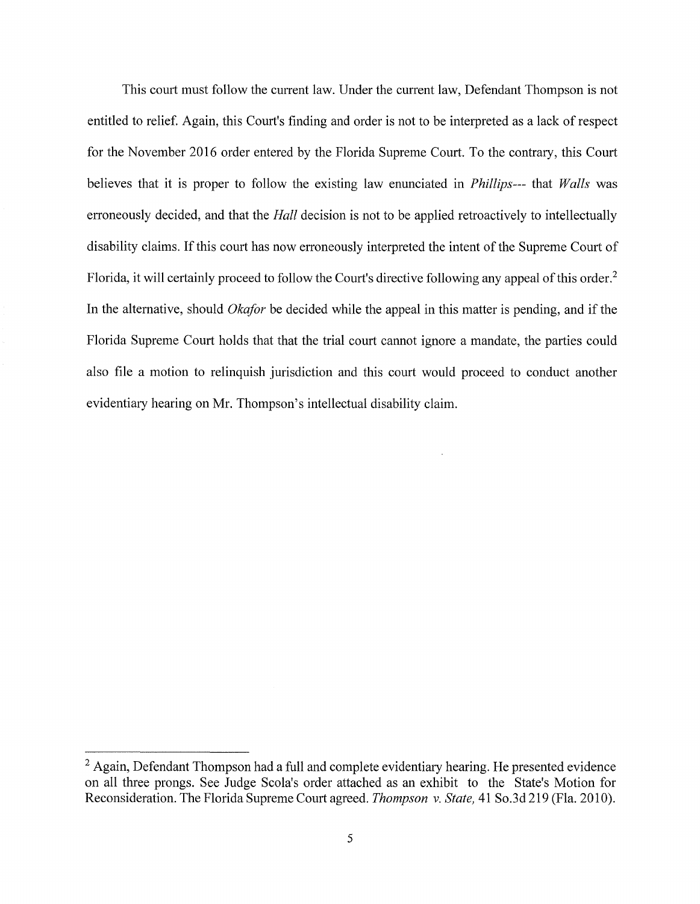This court must follow the current law. Under the current law, Defendant Thompson is not entitled to relief. Again, this Court's finding and order is not to be interpreted as a lack of respect for the November 2016 order entered by the Florida Supreme Court. To the contrary, this Court believes that it is proper to follow the existing law enunciated in *Phillips---* that *Walls* was erroneously decided, and that the *Hall* decision is not to be applied retroactively to intellectually disability claims. If this court has now erroneously interpreted the intent of the Supreme Court of Florida, it will certainly proceed to follow the Court's directive following any appeal of this order. <sup>2</sup> In the alternative, should *Okafor* be decided while the appeal in this matter is pending, and if the Florida Supreme Court holds that that the trial court cannot ignore a mandate, the parties could also file a motion to relinquish jurisdiction and this court would proceed to conduct another evidentiary hearing on Mr. Thompson's intellectual disability claim.

 $<sup>2</sup>$  Again, Defendant Thompson had a full and complete evidentiary hearing. He presented evidence</sup> on all three prongs. See Judge Scola's order attached as an exhibit to the State's Motion for Reconsideration. The Florida Supreme Court agreed. *Thompson v. State,* 41 So.3d 219 (Fla. 2010).